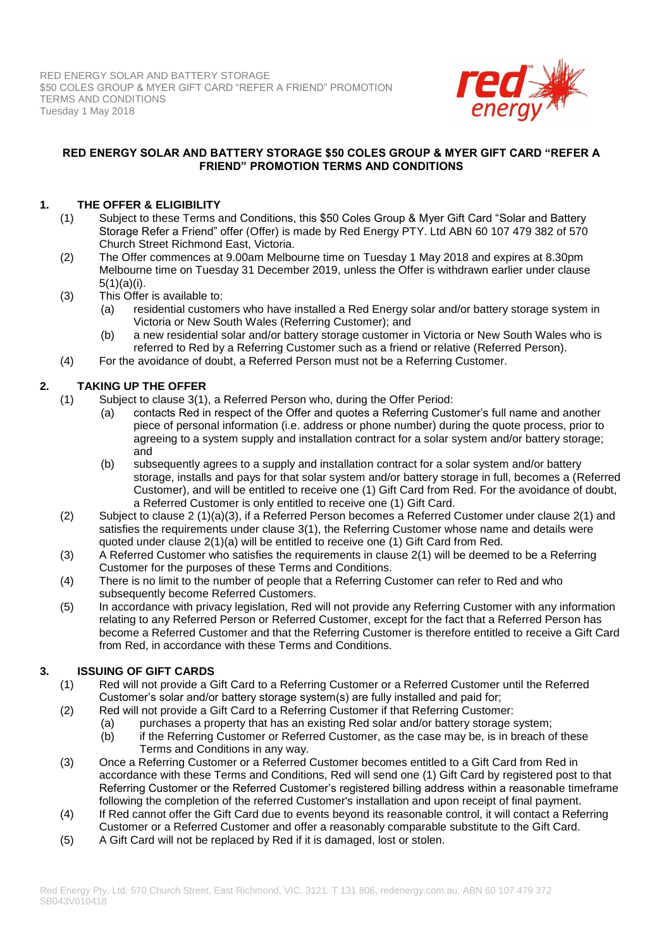

### **RED ENERGY SOLAR AND BATTERY STORAGE \$50 COLES GROUP & MYER GIFT CARD "REFER A FRIEND" PROMOTION TERMS AND CONDITIONS**

# **1. THE OFFER & ELIGIBILITY**

- (1) Subject to these Terms and Conditions, this \$50 Coles Group & Myer Gift Card "Solar and Battery Storage Refer a Friend" offer (Offer) is made by Red Energy PTY. Ltd ABN 60 107 479 382 of 570 Church Street Richmond East, Victoria.
- (2) The Offer commences at 9.00am Melbourne time on Tuesday 1 May 2018 and expires at 8.30pm Melbourne time on Tuesday 31 December 2019, unless the Offer is withdrawn earlier under clause 5(1)(a)(i).
- (3) This Offer is available to:
	- (a) residential customers who have installed a Red Energy solar and/or battery storage system in Victoria or New South Wales (Referring Customer); and
	- (b) a new residential solar and/or battery storage customer in Victoria or New South Wales who is referred to Red by a Referring Customer such as a friend or relative (Referred Person).
- (4) For the avoidance of doubt, a Referred Person must not be a Referring Customer.

# **2. TAKING UP THE OFFER**

- (1) Subject to clause 3(1), a Referred Person who, during the Offer Period:
	- (a) contacts Red in respect of the Offer and quotes a Referring Customer's full name and another piece of personal information (i.e. address or phone number) during the quote process, prior to agreeing to a system supply and installation contract for a solar system and/or battery storage; and
	- (b) subsequently agrees to a supply and installation contract for a solar system and/or battery storage, installs and pays for that solar system and/or battery storage in full, becomes a (Referred Customer), and will be entitled to receive one (1) Gift Card from Red. For the avoidance of doubt, a Referred Customer is only entitled to receive one (1) Gift Card.
- (2) Subject to clause 2 (1)(a)(3), if a Referred Person becomes a Referred Customer under clause 2(1) and satisfies the requirements under clause 3(1), the Referring Customer whose name and details were quoted under clause 2(1)(a) will be entitled to receive one (1) Gift Card from Red.
- (3) A Referred Customer who satisfies the requirements in clause 2(1) will be deemed to be a Referring Customer for the purposes of these Terms and Conditions.
- (4) There is no limit to the number of people that a Referring Customer can refer to Red and who subsequently become Referred Customers.
- (5) In accordance with privacy legislation, Red will not provide any Referring Customer with any information relating to any Referred Person or Referred Customer, except for the fact that a Referred Person has become a Referred Customer and that the Referring Customer is therefore entitled to receive a Gift Card from Red, in accordance with these Terms and Conditions.

# **3. ISSUING OF GIFT CARDS**

- (1) Red will not provide a Gift Card to a Referring Customer or a Referred Customer until the Referred Customer's solar and/or battery storage system(s) are fully installed and paid for;
- (2) Red will not provide a Gift Card to a Referring Customer if that Referring Customer:
	- (a) purchases a property that has an existing Red solar and/or battery storage system;
		- (b) if the Referring Customer or Referred Customer, as the case may be, is in breach of these Terms and Conditions in any way.
- (3) Once a Referring Customer or a Referred Customer becomes entitled to a Gift Card from Red in accordance with these Terms and Conditions, Red will send one (1) Gift Card by registered post to that Referring Customer or the Referred Customer's registered billing address within a reasonable timeframe following the completion of the referred Customer's installation and upon receipt of final payment.
- (4) If Red cannot offer the Gift Card due to events beyond its reasonable control, it will contact a Referring Customer or a Referred Customer and offer a reasonably comparable substitute to the Gift Card.
- (5) A Gift Card will not be replaced by Red if it is damaged, lost or stolen.